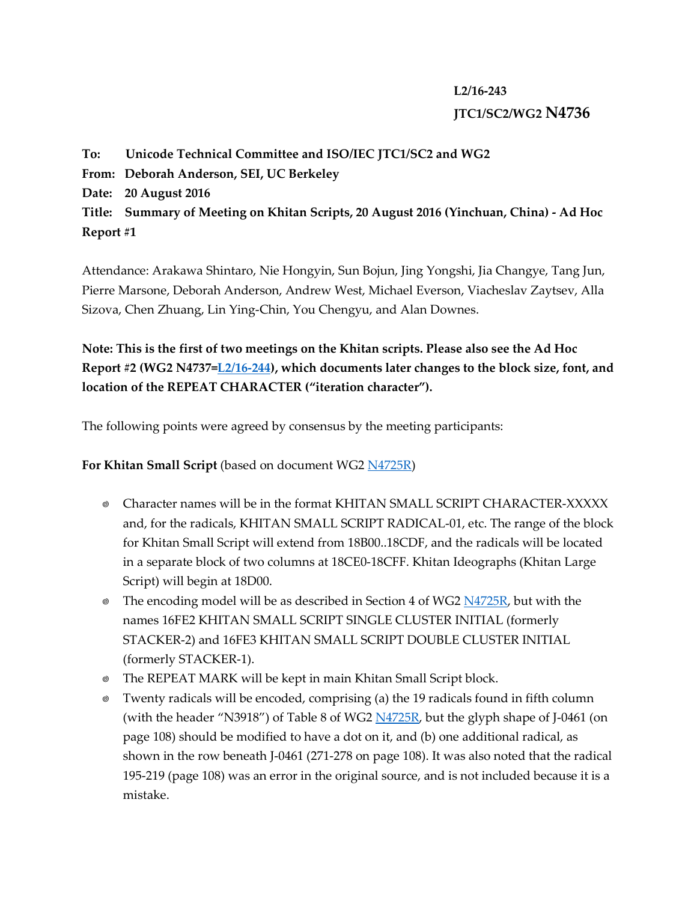## **L2/16-243 JTC1/SC2/WG2 N4736**

**To: Unicode Technical Committee and ISO/IEC JTC1/SC2 and WG2 From: Deborah Anderson, SEI, UC Berkeley Date: 20 August 2016 Title: Summary of Meeting on Khitan Scripts, 20 August 2016 (Yinchuan, China) - Ad Hoc Report #1**

Attendance: Arakawa Shintaro, Nie Hongyin, Sun Bojun, Jing Yongshi, Jia Changye, Tang Jun, Pierre Marsone, Deborah Anderson, Andrew West, Michael Everson, Viacheslav Zaytsev, Alla Sizova, Chen Zhuang, Lin Ying-Chin, You Chengyu, and Alan Downes.

**Note: This is the first of two meetings on the Khitan scripts. Please also see the Ad Hoc Report #2 (WG2 N4737[=L2/16-244\)](http://www.unicode.org/L2/L2016/16244-khitan-meeting-2.pdf), which documents later changes to the block size, font, and location of the REPEAT CHARACTER ("iteration character").**

The following points were agreed by consensus by the meeting participants:

**For Khitan Small Script** (based on document WG2 [N4725R\)](http://www.unicode.org/L2/L2016/16113r-n4725r-khitan-small-script.pdf)

- Character names will be in the format KHITAN SMALL SCRIPT CHARACTER-XXXXX and, for the radicals, KHITAN SMALL SCRIPT RADICAL-01, etc. The range of the block for Khitan Small Script will extend from 18B00..18CDF, and the radicals will be located in a separate block of two columns at 18CE0-18CFF. Khitan Ideographs (Khitan Large Script) will begin at 18D00.
- $\bullet$  The encoding model will be as described in Section 4 of WG2  $N4725R$ , but with the names 16FE2 KHITAN SMALL SCRIPT SINGLE CLUSTER INITIAL (formerly STACKER-2) and 16FE3 KHITAN SMALL SCRIPT DOUBLE CLUSTER INITIAL (formerly STACKER-1).
- The REPEAT MARK will be kept in main Khitan Small Script block.
- Twenty radicals will be encoded, comprising (a) the 19 radicals found in fifth column (with the header "N3918") of Table 8 of WG2  $\overline{N4725R}$ , but the glyph shape of J-0461 (on page 108) should be modified to have a dot on it, and (b) one additional radical, as shown in the row beneath J-0461 (271-278 on page 108). It was also noted that the radical 195-219 (page 108) was an error in the original source, and is not included because it is a mistake.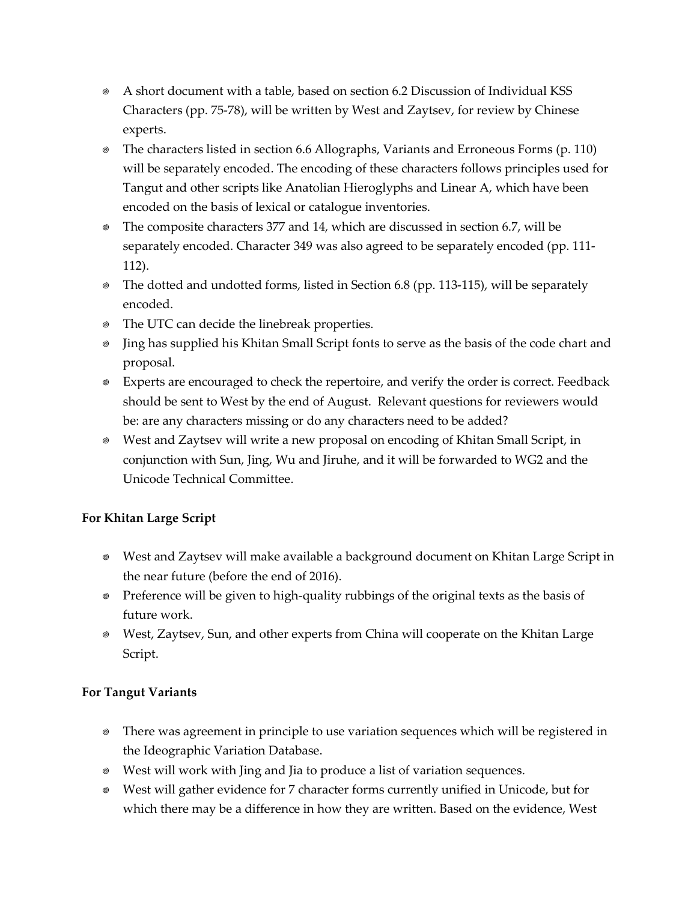- A short document with a table, based on section 6.2 Discussion of Individual KSS Characters (pp. 75-78), will be written by West and Zaytsev, for review by Chinese experts.
- The characters listed in section 6.6 Allographs, Variants and Erroneous Forms (p. 110) will be separately encoded. The encoding of these characters follows principles used for Tangut and other scripts like Anatolian Hieroglyphs and Linear A, which have been encoded on the basis of lexical or catalogue inventories.
- The composite characters 377 and 14, which are discussed in section 6.7, will be separately encoded. Character 349 was also agreed to be separately encoded (pp. 111- 112).
- The dotted and undotted forms, listed in Section 6.8 (pp. 113-115), will be separately encoded.
- The UTC can decide the linebreak properties.
- Jing has supplied his Khitan Small Script fonts to serve as the basis of the code chart and proposal.
- Experts are encouraged to check the repertoire, and verify the order is correct. Feedback should be sent to West by the end of August. Relevant questions for reviewers would be: are any characters missing or do any characters need to be added?
- West and Zaytsev will write a new proposal on encoding of Khitan Small Script, in conjunction with Sun, Jing, Wu and Jiruhe, and it will be forwarded to WG2 and the Unicode Technical Committee.

## **For Khitan Large Script**

- West and Zaytsev will make available a background document on Khitan Large Script in the near future (before the end of 2016).
- Preference will be given to high-quality rubbings of the original texts as the basis of future work.
- West, Zaytsev, Sun, and other experts from China will cooperate on the Khitan Large Script.

## **For Tangut Variants**

- There was agreement in principle to use variation sequences which will be registered in the Ideographic Variation Database.
- West will work with Jing and Jia to produce a list of variation sequences.
- West will gather evidence for 7 character forms currently unified in Unicode, but for which there may be a difference in how they are written. Based on the evidence, West